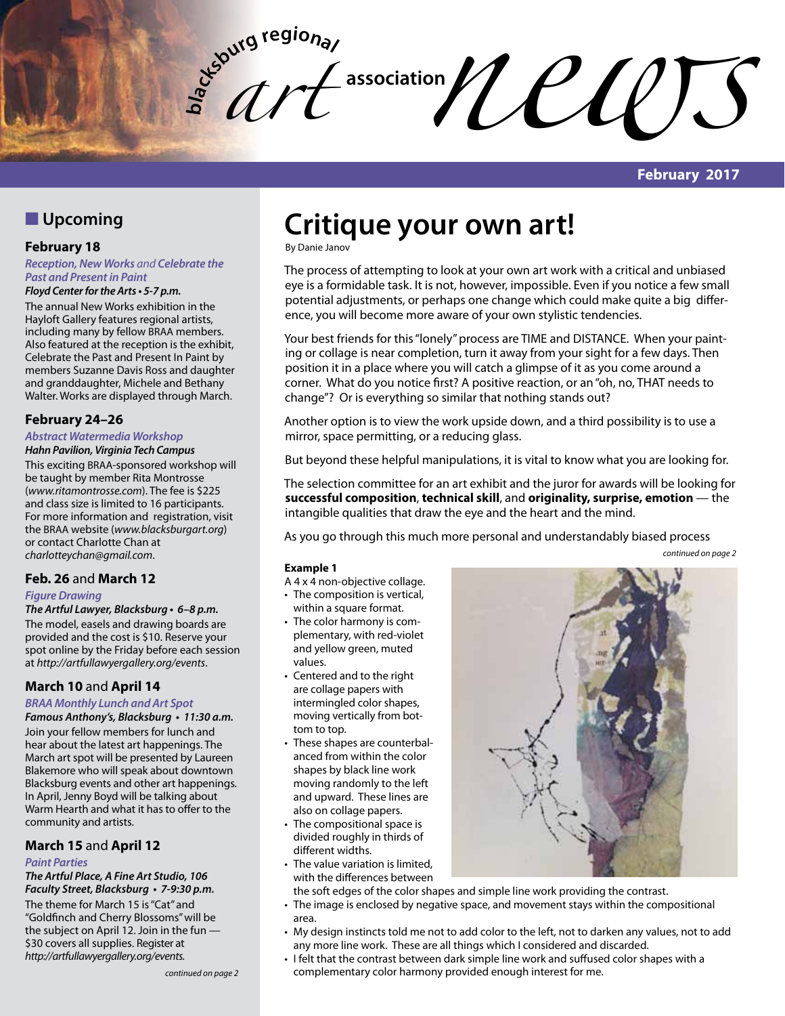**bla** *art* 

**February 2017**

# **N** Upcoming

## **February 18**

*Reception, New Works and Celebrate the Past and Present in Paint* 

**Floyd Center for the Arts • 5-7 p.m.** The annual New Works exhibition in the Hayloft Gallery features regional artists, including many by fellow BRAA members. Also featured at the reception is the exhibit, Celebrate the Past and Present In Paint by members Suzanne Davis Ross and daughter and granddaughter, Michele and Bethany Walter. Works are displayed through March.

# **February 24–26**

#### **Abstract Watermedia Workshop Hahn Pavilion, Virginia Tech Campus**

This exciting BRAA-sponsored workshop will be taught by member Rita Montrosse (*www.ritamontrosse.com*). The fee is \$225 and class size is limited to 16 participants. For more information and registration, visit the BRAA website (*www.blacksburgart.org*) or contact Charlotte Chan at *charlotteychan@gmail.com*.

# **Feb. 26** and **March 12**

#### **Figure Drawing**

**The Artful Lawyer, Blacksburg • 6–8 p.m.** The model, easels and drawing boards are provided and the cost is \$10. Reserve your spot online by the Friday before each session at *http://artfullawyergallery.org/events*.

# **March 10** and **April 14**

# **BRAA Monthly Lunch and Art Spot**

**Famous Anthony's, Blacksburg • 11:30 a.m.** Join your fellow members for lunch and hear about the latest art happenings. The

March art spot will be presented by Laureen Blakemore who will speak about downtown Blacksburg events and other art happenings. In April, Jenny Boyd will be talking about Warm Hearth and what it has to offer to the community and artists.

# **March 15** and **April 12**

#### *Paint Parties*

**The Artful Place, A Fine Art Studio, 106 Faculty Street, Blacksburg • 7-9:30 p.m.**

The theme for March 15 is "Cat" and "Goldfinch and Cherry Blossoms" will be the subject on April 12. Join in the fun — \$30 covers all supplies. Register at *http://artfullawyergallery.org/events.*

# **Critique your own art!**

**Example 1**

values.

The process of attempting to look at your own art work with a critical and unbiased eye is a formidable task. It is not, however, impossible. Even if you notice a few small potential adjustments, or perhaps one change which could make quite a big difference, you will become more aware of your own stylistic tendencies.

 $\mathcal{U}$ 

Your best friends for this "lonely" process are TIME and DISTANCE. When your painting or collage is near completion, turn it away from your sight for a few days. Then position it in a place where you will catch a glimpse of it as you come around a corner. What do you notice first? A positive reaction, or an "oh, no, THAT needs to change"? Or is everything so similar that nothing stands out?

Another option is to view the work upside down, and a third possibility is to use a mirror, space permitting, or a reducing glass.

But beyond these helpful manipulations, it is vital to know what you are looking for.

The selection committee for an art exhibit and the juror for awards will be looking for **successful composition**, **technical skill**, and **originality, surprise, emotion** — the intangible qualities that draw the eye and the heart and the mind.

As you go through this much more personal and understandably biased process

*continued on page 2*

# By Danie Janov

within a square format. • The color harmony is complementary, with red-violet and yellow green, muted • Centered and to the right are collage papers with intermingled color shapes, moving vertically from bottom to top.

• These shapes are counterbalanced from within the color shapes by black line work moving randomly to the left and upward. These lines are also on collage papers.

A 4 x 4 non-objective collage. • The composition is vertical,

- The compositional space is divided roughly in thirds of different widths.
- The value variation is limited. with the differences between



the soft edges of the color shapes and simple line work providing the contrast.

- The image is enclosed by negative space, and movement stays within the compositional area.
- • My design instincts told me not to add color to the left, not to darken any values, not to add any more line work. These are all things which I considered and discarded.
- • I felt that the contrast between dark simple line work and suffused color shapes with a complementary color harmony provided enough interest for me.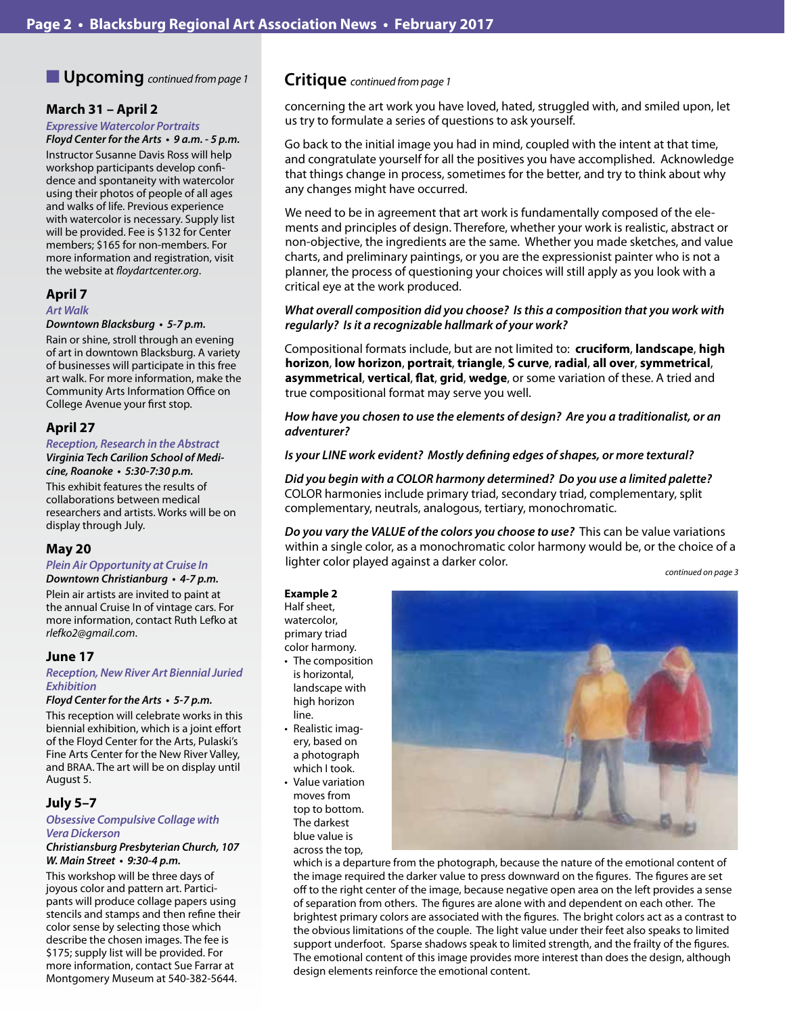# **N** Upcoming *continued from page 1*

## **March 31 – April 2**

# *Expressive Watercolor Portraits*

**Floyd Center for the Arts • 9 a.m. - 5 p.m.** Instructor Susanne Davis Ross will help workshop participants develop confidence and spontaneity with watercolor using their photos of people of all ages and walks of life. Previous experience with watercolor is necessary. Supply list will be provided. Fee is \$132 for Center members; \$165 for non-members. For more information and registration, visit the website at *floydartcenter.org*.

## **April 7**

#### *Art Walk*

#### **Downtown Blacksburg • 5-7 p.m.**

Rain or shine, stroll through an evening of art in downtown Blacksburg. A variety of businesses will participate in this free art walk. For more information, make the Community Arts Information Office on College Avenue your first stop.

# **April 27**

#### *Reception, Research in the Abstract* **Virginia Tech Carilion School of Medi-**

**cine, Roanoke • 5:30-7:30 p.m.**

This exhibit features the results of collaborations between medical researchers and artists. Works will be on display through July.

# **May 20**

## **Plein Air Opportunity at Cruise In**

**Downtown Christianburg • 4-7 p.m.** Plein air artists are invited to paint at the annual Cruise In of vintage cars. For more information, contact Ruth Lefko at *rlefko2@gmail.com*.

## **June 17**

#### **Reception, New River Art Biennial Juried**  *Exhibition*

#### **Floyd Center for the Arts • 5-7 p.m.**

This reception will celebrate works in this biennial exhibition, which is a joint effort of the Floyd Center for the Arts, Pulaski's Fine Arts Center for the New River Valley, and BRAA. The art will be on display until August 5.

# **July 5–7**

#### **Obsessive Compulsive Collage with Vera Dickerson**

#### **Christiansburg Presbyterian Church, 107 W. Main Street • 9:30-4 p.m.**

This workshop will be three days of joyous color and pattern art. Participants will produce collage papers using stencils and stamps and then refine their color sense by selecting those which describe the chosen images. The fee is \$175; supply list will be provided. For more information, contact Sue Farrar at Montgomery Museum at 540-382-5644.

# **Critique** *continued from page 1*

concerning the art work you have loved, hated, struggled with, and smiled upon, let us try to formulate a series of questions to ask yourself.

Go back to the initial image you had in mind, coupled with the intent at that time, and congratulate yourself for all the positives you have accomplished. Acknowledge that things change in process, sometimes for the better, and try to think about why any changes might have occurred.

We need to be in agreement that art work is fundamentally composed of the elements and principles of design. Therefore, whether your work is realistic, abstract or non-objective, the ingredients are the same. Whether you made sketches, and value charts, and preliminary paintings, or you are the expressionist painter who is not a planner, the process of questioning your choices will still apply as you look with a critical eye at the work produced.

## **What overall composition did you choose? Is this a composition that you work with regularly? Is it a recognizable hallmark of your work?**

Compositional formats include, but are not limited to: **cruciform**, **landscape**, **high horizon**, **low horizon**, **portrait**, **triangle**, **S curve**, **radial**, **all over**, **symmetrical**, **asymmetrical**, **vertical**, **flat**, **grid**, **wedge**, or some variation of these. A tried and true compositional format may serve you well.

#### **How have you chosen to use the elements of design? Are you a traditionalist, or an adventurer?**

#### **Is your LINE work evident? Mostly defining edges of shapes, or more textural?**

**Did you begin with a COLOR harmony determined? Do you use a limited palette?** COLOR harmonies include primary triad, secondary triad, complementary, split complementary, neutrals, analogous, tertiary, monochromatic.

**Do you vary the VALUE of the colors you choose to use?** This can be value variations within a single color, as a monochromatic color harmony would be, or the choice of a lighter color played against a darker color.

#### *continued on page 3*

**Example 2** Half sheet, watercolor, primary triad color harmony.

- The composition is horizontal, landscape with high horizon line.
- Realistic imagery, based on a photograph which I took.
- Value variation moves from top to bottom. The darkest blue value is across the top,



which is a departure from the photograph, because the nature of the emotional content of the image required the darker value to press downward on the figures. The figures are set off to the right center of the image, because negative open area on the left provides a sense of separation from others. The figures are alone with and dependent on each other. The brightest primary colors are associated with the figures. The bright colors act as a contrast to the obvious limitations of the couple. The light value under their feet also speaks to limited support underfoot. Sparse shadows speak to limited strength, and the frailty of the figures. The emotional content of this image provides more interest than does the design, although design elements reinforce the emotional content.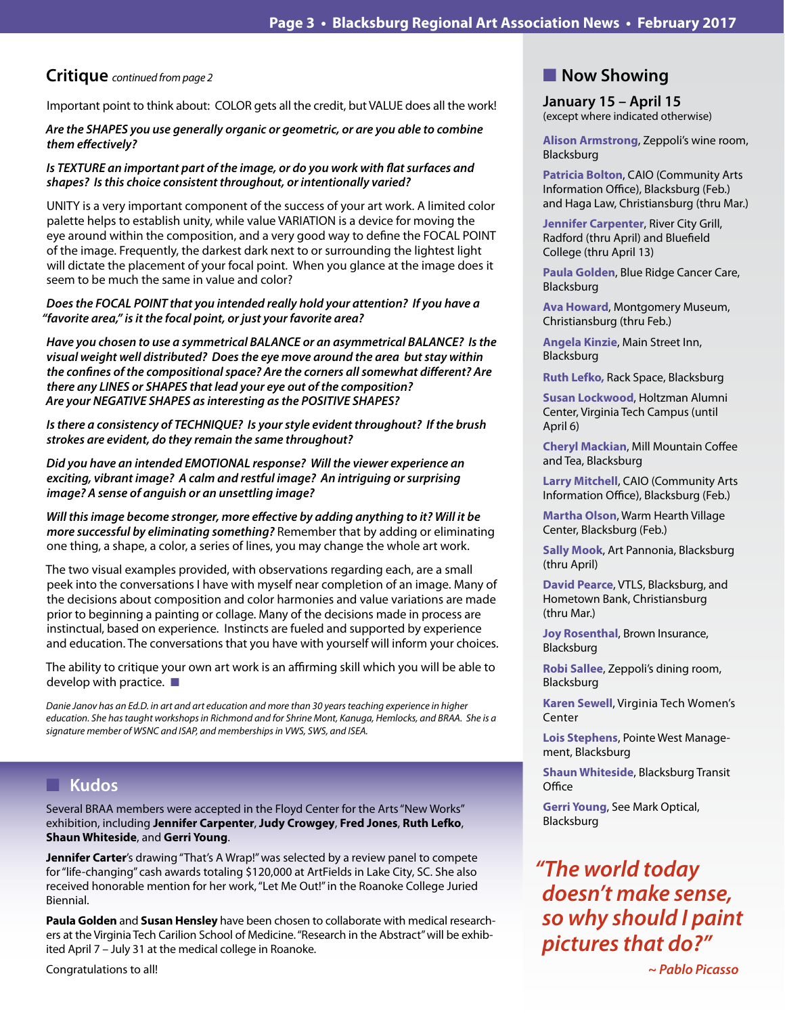# **Critique** *continued from page 2*

Important point to think about: COLOR gets all the credit, but VALUE does all the work!

#### **Are the SHAPES you use generally organic or geometric, or are you able to combine them effectively?**

#### **Is TEXTURE an important part of the image, or do you work with flat surfaces and shapes? Is this choice consistent throughout, or intentionally varied?**

UNITY is a very important component of the success of your art work. A limited color palette helps to establish unity, while value VARIATION is a device for moving the eye around within the composition, and a very good way to define the FOCAL POINT of the image. Frequently, the darkest dark next to or surrounding the lightest light will dictate the placement of your focal point. When you glance at the image does it seem to be much the same in value and color?

## **Does the FOCAL POINT that you intended really hold your attention? If you have a "favorite area," is it the focal point, or just your favorite area?**

**Have you chosen to use a symmetrical BALANCE or an asymmetrical BALANCE? Is the visual weight well distributed? Does the eye move around the area but stay within the confines of the compositional space? Are the corners all somewhat different? Are there any LINES or SHAPES that lead your eye out of the composition? Are your NEGATIVE SHAPES as interesting as the POSITIVE SHAPES?**

**Is there a consistency of TECHNIQUE? Is your style evident throughout? If the brush strokes are evident, do they remain the same throughout?**

**Did you have an intended EMOTIONAL response? Will the viewer experience an exciting, vibrant image? A calm and restful image? An intriguing or surprising image? A sense of anguish or an unsettling image?**

**Will this image become stronger, more effective by adding anything to it? Will it be more successful by eliminating something?** Remember that by adding or eliminating one thing, a shape, a color, a series of lines, you may change the whole art work.

The two visual examples provided, with observations regarding each, are a small peek into the conversations I have with myself near completion of an image. Many of the decisions about composition and color harmonies and value variations are made prior to beginning a painting or collage. Many of the decisions made in process are instinctual, based on experience. Instincts are fueled and supported by experience and education. The conversations that you have with yourself will inform your choices.

The ability to critique your own art work is an affirming skill which you will be able to develop with practice.  $\blacksquare$ 

*Danie Janov has an Ed.D. in art and art education and more than 30 years teaching experience in higher education. She has taught workshops in Richmond and for Shrine Mont, Kanuga, Hemlocks, and BRAA. She is a signature member of WSNC and ISAP, and memberships in VWS, SWS, and ISEA.* 

# n **Kudos**

Several BRAA members were accepted in the Floyd Center for the Arts "New Works" exhibition, including **Jennifer Carpenter**, **Judy Crowgey**, **Fred Jones**, **Ruth Lefko**, **Shaun Whiteside**, and **Gerri Young**.

**Jennifer Carter's drawing "That's A Wrap!" was selected by a review panel to compete** for "life-changing" cash awards totaling \$120,000 at ArtFields in Lake City, SC. She also received honorable mention for her work, "Let Me Out!" in the Roanoke College Juried Biennial.

**Paula Golden** and **Susan Hensley** have been chosen to collaborate with medical researchers at the Virginia Tech Carilion School of Medicine. "Research in the Abstract" will be exhibited April 7 – July 31 at the medical college in Roanoke.

Congratulations to all!

# **Now Showing**

**January 15 – April 15** (except where indicated otherwise)

**Alison Armstrong**, Zeppoli's wine room, Blacksburg

**Patricia Bolton**, CAIO (Community Arts Information Office), Blacksburg (Feb.) and Haga Law, Christiansburg (thru Mar.)

**Jennifer Carpenter**, River City Grill, Radford (thru April) and Bluefield College (thru April 13)

**Paula Golden**, Blue Ridge Cancer Care, Blacksburg

**Ava Howard**, Montgomery Museum, Christiansburg (thru Feb.)

**Angela Kinzie**, Main Street Inn, Blacksburg

**Ruth Lefko,** Rack Space, Blacksburg

**Susan Lockwood**, Holtzman Alumni Center, Virginia Tech Campus (until April 6)

**Cheryl Mackian**, Mill Mountain Coffee and Tea, Blacksburg

**Larry Mitchell**, CAIO (Community Arts Information Office), Blacksburg (Feb.)

**Martha Olson**, Warm Hearth Village Center, Blacksburg (Feb.)

**Sally Mook**, Art Pannonia, Blacksburg (thru April)

**David Pearce**, VTLS, Blacksburg, and Hometown Bank, Christiansburg (thru Mar.)

**Joy Rosenthal**, Brown Insurance, Blacksburg

**Robi Sallee**, Zeppoli's dining room, Blacksburg

**Karen Sewell**, Virginia Tech Women's Center

**Lois Stephens**, Pointe West Management, Blacksburg

**Shaun Whiteside**, Blacksburg Transit **Office** 

**Gerri Young**, See Mark Optical, Blacksburg

# *"The world today*  **doesn't make sense, so why should I paint pictures that do?"**

 *~ Pablo Picasso*